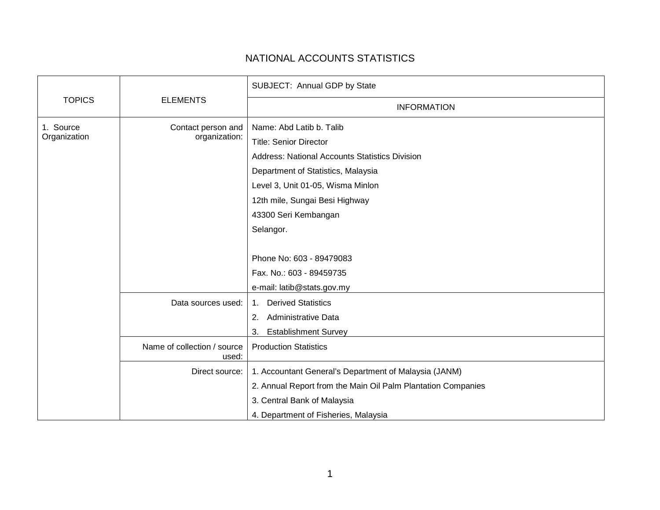## NATIONAL ACCOUNTS STATISTICS

| <b>TOPICS</b>             | <b>ELEMENTS</b>                      | SUBJECT: Annual GDP by State                                 |
|---------------------------|--------------------------------------|--------------------------------------------------------------|
|                           |                                      | <b>INFORMATION</b>                                           |
| 1. Source<br>Organization | Contact person and<br>organization:  | Name: Abd Latib b. Talib                                     |
|                           |                                      | <b>Title: Senior Director</b>                                |
|                           |                                      | <b>Address: National Accounts Statistics Division</b>        |
|                           |                                      | Department of Statistics, Malaysia                           |
|                           |                                      | Level 3, Unit 01-05, Wisma Minlon                            |
|                           |                                      | 12th mile, Sungai Besi Highway                               |
|                           |                                      | 43300 Seri Kembangan                                         |
|                           |                                      | Selangor.                                                    |
|                           |                                      |                                                              |
|                           |                                      | Phone No: 603 - 89479083                                     |
|                           |                                      | Fax. No.: 603 - 89459735                                     |
|                           |                                      | e-mail: latib@stats.gov.my                                   |
|                           | Data sources used:                   | <b>Derived Statistics</b><br>1.                              |
|                           |                                      | Administrative Data<br>2.                                    |
|                           |                                      | <b>Establishment Survey</b><br>3.                            |
|                           | Name of collection / source<br>used: | <b>Production Statistics</b>                                 |
|                           | Direct source:                       | 1. Accountant General's Department of Malaysia (JANM)        |
|                           |                                      | 2. Annual Report from the Main Oil Palm Plantation Companies |
|                           |                                      | 3. Central Bank of Malaysia                                  |
|                           |                                      | 4. Department of Fisheries, Malaysia                         |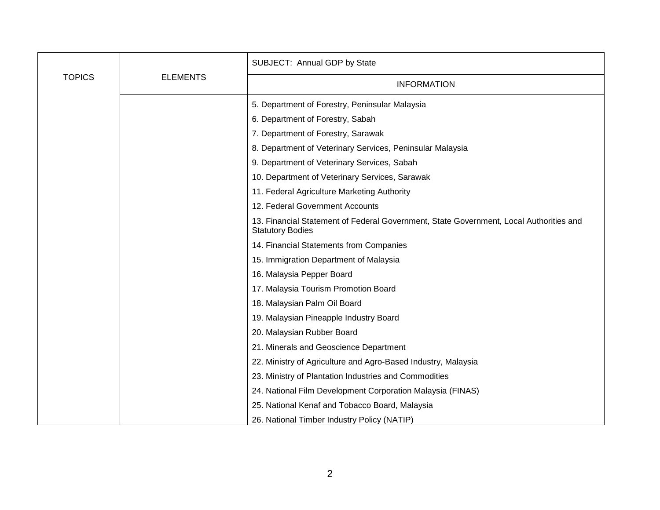| <b>TOPICS</b> | <b>ELEMENTS</b> | SUBJECT: Annual GDP by State                                                                                      |
|---------------|-----------------|-------------------------------------------------------------------------------------------------------------------|
|               |                 | <b>INFORMATION</b>                                                                                                |
|               |                 | 5. Department of Forestry, Peninsular Malaysia                                                                    |
|               |                 | 6. Department of Forestry, Sabah                                                                                  |
|               |                 | 7. Department of Forestry, Sarawak                                                                                |
|               |                 | 8. Department of Veterinary Services, Peninsular Malaysia                                                         |
|               |                 | 9. Department of Veterinary Services, Sabah                                                                       |
|               |                 | 10. Department of Veterinary Services, Sarawak                                                                    |
|               |                 | 11. Federal Agriculture Marketing Authority                                                                       |
|               |                 | 12. Federal Government Accounts                                                                                   |
|               |                 | 13. Financial Statement of Federal Government, State Government, Local Authorities and<br><b>Statutory Bodies</b> |
|               |                 | 14. Financial Statements from Companies                                                                           |
|               |                 | 15. Immigration Department of Malaysia                                                                            |
|               |                 | 16. Malaysia Pepper Board                                                                                         |
|               |                 | 17. Malaysia Tourism Promotion Board                                                                              |
|               |                 | 18. Malaysian Palm Oil Board                                                                                      |
|               |                 | 19. Malaysian Pineapple Industry Board                                                                            |
|               |                 | 20. Malaysian Rubber Board                                                                                        |
|               |                 | 21. Minerals and Geoscience Department                                                                            |
|               |                 | 22. Ministry of Agriculture and Agro-Based Industry, Malaysia                                                     |
|               |                 | 23. Ministry of Plantation Industries and Commodities                                                             |
|               |                 | 24. National Film Development Corporation Malaysia (FINAS)                                                        |
|               |                 | 25. National Kenaf and Tobacco Board, Malaysia                                                                    |
|               |                 | 26. National Timber Industry Policy (NATIP)                                                                       |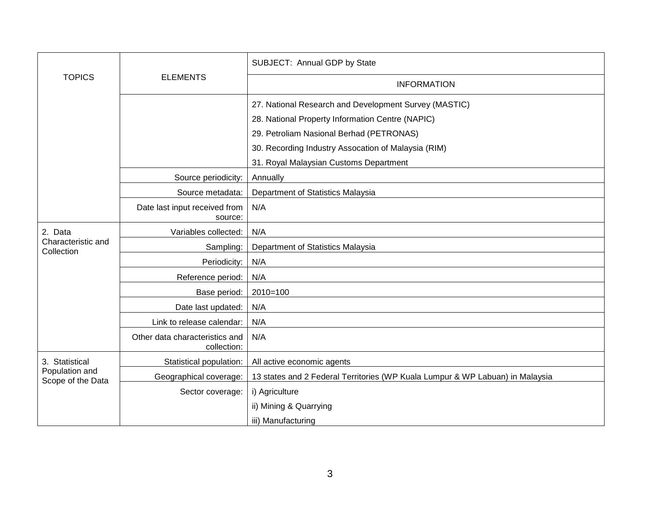| <b>TOPICS</b>                                         | <b>ELEMENTS</b>                               | SUBJECT: Annual GDP by State                                                  |
|-------------------------------------------------------|-----------------------------------------------|-------------------------------------------------------------------------------|
|                                                       |                                               | <b>INFORMATION</b>                                                            |
|                                                       |                                               | 27. National Research and Development Survey (MASTIC)                         |
|                                                       |                                               | 28. National Property Information Centre (NAPIC)                              |
|                                                       |                                               | 29. Petroliam Nasional Berhad (PETRONAS)                                      |
|                                                       |                                               | 30. Recording Industry Assocation of Malaysia (RIM)                           |
|                                                       |                                               | 31. Royal Malaysian Customs Department                                        |
|                                                       | Source periodicity:                           | Annually                                                                      |
|                                                       | Source metadata:                              | Department of Statistics Malaysia                                             |
|                                                       | Date last input received from<br>source:      | N/A                                                                           |
| 2. Data                                               | Variables collected:                          | N/A                                                                           |
| Characteristic and<br>Collection                      | Sampling:                                     | Department of Statistics Malaysia                                             |
|                                                       | Periodicity:                                  | N/A                                                                           |
|                                                       | Reference period:                             | N/A                                                                           |
|                                                       | Base period:                                  | $2010=100$                                                                    |
|                                                       | Date last updated:                            | N/A                                                                           |
|                                                       | Link to release calendar:                     | N/A                                                                           |
|                                                       | Other data characteristics and<br>collection: | N/A                                                                           |
| 3. Statistical<br>Population and<br>Scope of the Data | Statistical population:                       | All active economic agents                                                    |
|                                                       | Geographical coverage:                        | 13 states and 2 Federal Territories (WP Kuala Lumpur & WP Labuan) in Malaysia |
|                                                       | Sector coverage:                              | i) Agriculture                                                                |
|                                                       |                                               | ii) Mining & Quarrying                                                        |
|                                                       |                                               | iii) Manufacturing                                                            |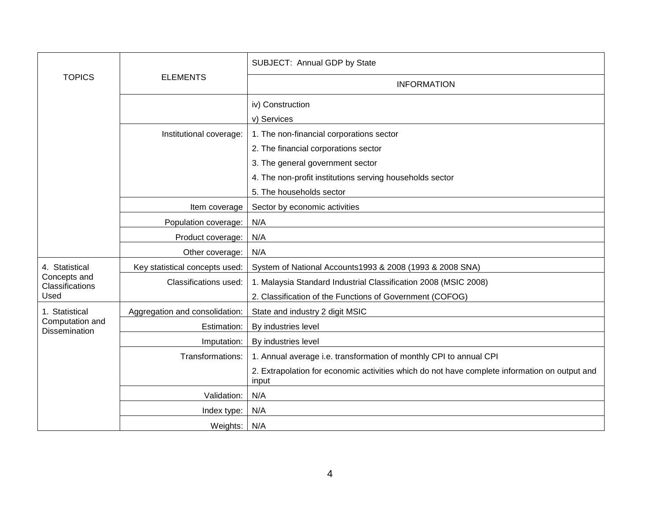| <b>TOPICS</b>                                             | <b>ELEMENTS</b>                | SUBJECT: Annual GDP by State                                                                           |
|-----------------------------------------------------------|--------------------------------|--------------------------------------------------------------------------------------------------------|
|                                                           |                                | <b>INFORMATION</b>                                                                                     |
|                                                           |                                | iv) Construction                                                                                       |
|                                                           |                                | v) Services                                                                                            |
|                                                           | Institutional coverage:        | 1. The non-financial corporations sector                                                               |
|                                                           |                                | 2. The financial corporations sector                                                                   |
|                                                           |                                | 3. The general government sector                                                                       |
|                                                           |                                | 4. The non-profit institutions serving households sector                                               |
|                                                           |                                | 5. The households sector                                                                               |
|                                                           | Item coverage                  | Sector by economic activities                                                                          |
|                                                           | Population coverage:           | N/A                                                                                                    |
|                                                           | Product coverage:              | N/A                                                                                                    |
|                                                           | Other coverage:                | N/A                                                                                                    |
| 4. Statistical                                            | Key statistical concepts used: | System of National Accounts 1993 & 2008 (1993 & 2008 SNA)                                              |
| Concepts and<br>Classifications                           | Classifications used:          | 1. Malaysia Standard Industrial Classification 2008 (MSIC 2008)                                        |
| Used                                                      |                                | 2. Classification of the Functions of Government (COFOG)                                               |
| 1. Statistical<br>Computation and<br><b>Dissemination</b> | Aggregation and consolidation: | State and industry 2 digit MSIC                                                                        |
|                                                           | Estimation:                    | By industries level                                                                                    |
|                                                           | Imputation:                    | By industries level                                                                                    |
|                                                           | Transformations:               | 1. Annual average i.e. transformation of monthly CPI to annual CPI                                     |
|                                                           |                                | 2. Extrapolation for economic activities which do not have complete information on output and<br>input |
|                                                           | Validation:                    | N/A                                                                                                    |
|                                                           | Index type:                    | N/A                                                                                                    |
|                                                           | Weights:                       | N/A                                                                                                    |